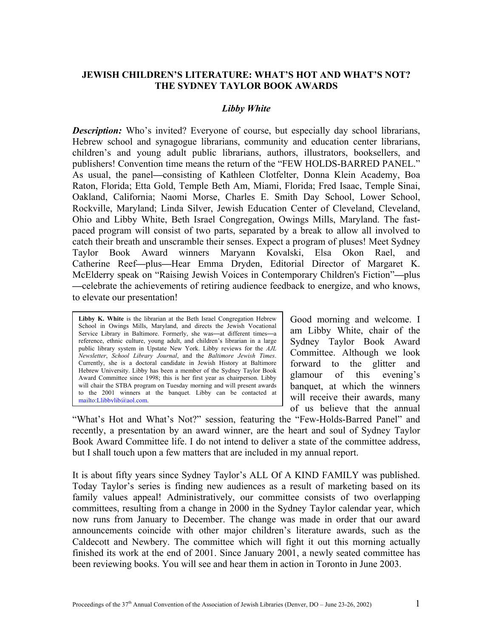## **JEWISH CHILDREN'S LITERATURE: WHAT'S HOT AND WHAT'S NOT? THE SYDNEY TAYLOR BOOK AWARDS**

#### *Libby White*

*Description:* Who's invited? Everyone of course, but especially day school librarians, Hebrew school and synagogue librarians, community and education center librarians, children's and young adult public librarians, authors, illustrators, booksellers, and publishers! Convention time means the return of the "FEW HOLDS-BARRED PANEL." As usual, the panel**—**consisting of Kathleen Clotfelter, Donna Klein Academy, Boa Raton, Florida; Etta Gold, Temple Beth Am, Miami, Florida; Fred Isaac, Temple Sinai, Oakland, California; Naomi Morse, Charles E. Smith Day School, Lower School, Rockville, Maryland; Linda Silver, Jewish Education Center of Cleveland, Cleveland, Ohio and Libby White, Beth Israel Congregation, Owings Mills, Maryland. The fastpaced program will consist of two parts, separated by a break to allow all involved to catch their breath and unscramble their senses. Expect a program of pluses! Meet Sydney Taylor Book Award winners Maryann Kovalski, Elsa Okon Rael, and Catherine Reef**—**plus**—**Hear Emma Dryden, Editorial Director of Margaret K. McElderry speak on "Raising Jewish Voices in Contemporary Children's Fiction"**—**plus **—**celebrate the achievements of retiring audience feedback to energize, and who knows, to elevate our presentation!

**Libby K. White** is the librarian at the Beth Israel Congregation Hebrew School in Owings Mills, Maryland, and directs the Jewish Vocational Service Library in Baltimore. Formerly, she was—at different times—a reference, ethnic culture, young adult, and children's librarian in a large public library system in Upstate New York. Libby reviews for the *AJL Newsletter*, *School Library Journal*, and the *Baltimore Jewish Times*. Currently, she is a doctoral candidate in Jewish History at Baltimore Hebrew University. Libby has been a member of the Sydney Taylor Book Award Committee since 1998; this is her first year as chairperson. Libby will chair the STBA program on Tuesday morning and will present awards to the 2001 winners at the banquet. Libby can be contacted at [mailto:Llibbylib@aol.com.](mailto:Llibbylib@aol.com)

Good morning and welcome. I am Libby White, chair of the Sydney Taylor Book Award Committee. Although we look forward to the glitter and glamour of this evening's banquet, at which the winners will receive their awards, many of us believe that the annual

"What's Hot and What's Not?" session, featuring the "Few-Holds-Barred Panel" and recently, a presentation by an award winner, are the heart and soul of Sydney Taylor Book Award Committee life. I do not intend to deliver a state of the committee address, but I shall touch upon a few matters that are included in my annual report.

It is about fifty years since Sydney Taylor's ALL Of A KIND FAMILY was published. Today Taylor's series is finding new audiences as a result of marketing based on its family values appeal! Administratively, our committee consists of two overlapping committees, resulting from a change in 2000 in the Sydney Taylor calendar year, which now runs from January to December. The change was made in order that our award announcements coincide with other major children's literature awards, such as the Caldecott and Newbery. The committee which will fight it out this morning actually finished its work at the end of 2001. Since January 2001, a newly seated committee has been reviewing books. You will see and hear them in action in Toronto in June 2003.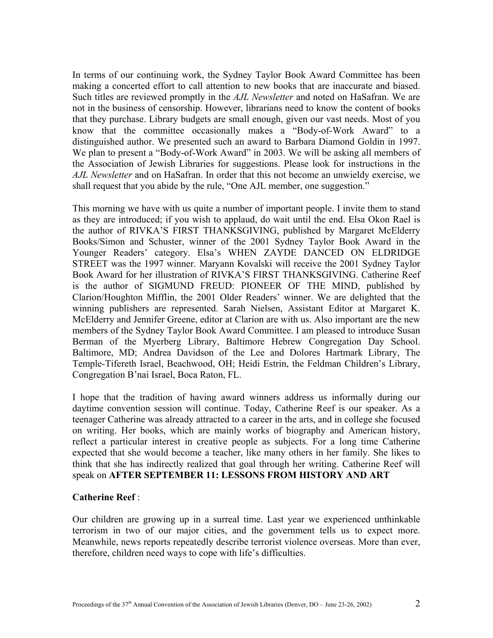In terms of our continuing work, the Sydney Taylor Book Award Committee has been making a concerted effort to call attention to new books that are inaccurate and biased. Such titles are reviewed promptly in the *AJL Newsletter* and noted on HaSafran. We are not in the business of censorship. However, librarians need to know the content of books that they purchase. Library budgets are small enough, given our vast needs. Most of you know that the committee occasionally makes a "Body-of-Work Award" to a distinguished author. We presented such an award to Barbara Diamond Goldin in 1997. We plan to present a "Body-of-Work Award" in 2003. We will be asking all members of the Association of Jewish Libraries for suggestions. Please look for instructions in the *AJL Newsletter* and on HaSafran. In order that this not become an unwieldy exercise, we shall request that you abide by the rule, "One AJL member, one suggestion."

This morning we have with us quite a number of important people. I invite them to stand as they are introduced; if you wish to applaud, do wait until the end. Elsa Okon Rael is the author of RIVKA'S FIRST THANKSGIVING, published by Margaret McElderry Books/Simon and Schuster, winner of the 2001 Sydney Taylor Book Award in the Younger Readers' category. Elsa's WHEN ZAYDE DANCED ON ELDRIDGE STREET was the 1997 winner. Maryann Kovalski will receive the 2001 Sydney Taylor Book Award for her illustration of RIVKA'S FIRST THANKSGIVING. Catherine Reef is the author of SIGMUND FREUD: PIONEER OF THE MIND, published by Clarion/Houghton Mifflin, the 2001 Older Readers' winner. We are delighted that the winning publishers are represented. Sarah Nielsen, Assistant Editor at Margaret K. McElderry and Jennifer Greene, editor at Clarion are with us. Also important are the new members of the Sydney Taylor Book Award Committee. I am pleased to introduce Susan Berman of the Myerberg Library, Baltimore Hebrew Congregation Day School. Baltimore, MD; Andrea Davidson of the Lee and Dolores Hartmark Library, The Temple-Tifereth Israel, Beachwood, OH; Heidi Estrin, the Feldman Children's Library, Congregation B'nai Israel, Boca Raton, FL.

I hope that the tradition of having award winners address us informally during our daytime convention session will continue. Today, Catherine Reef is our speaker. As a teenager Catherine was already attracted to a career in the arts, and in college she focused on writing. Her books, which are mainly works of biography and American history, reflect a particular interest in creative people as subjects. For a long time Catherine expected that she would become a teacher, like many others in her family. She likes to think that she has indirectly realized that goal through her writing. Catherine Reef will speak on **AFTER SEPTEMBER 11: LESSONS FROM HISTORY AND ART** 

## **Catherine Reef** :

Our children are growing up in a surreal time. Last year we experienced unthinkable terrorism in two of our major cities, and the government tells us to expect more. Meanwhile, news reports repeatedly describe terrorist violence overseas. More than ever, therefore, children need ways to cope with life's difficulties.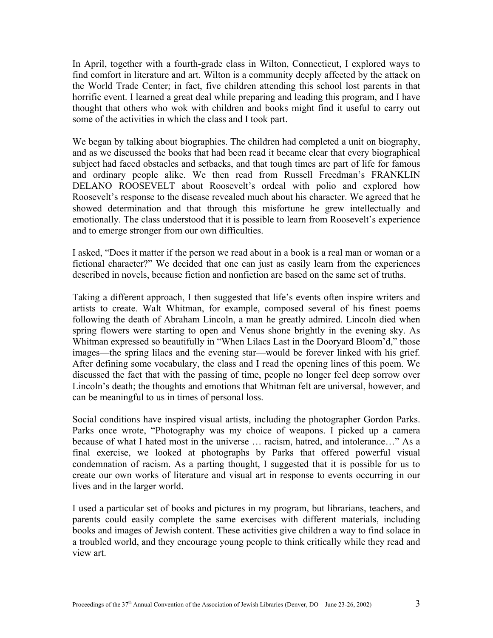In April, together with a fourth-grade class in Wilton, Connecticut, I explored ways to find comfort in literature and art. Wilton is a community deeply affected by the attack on the World Trade Center; in fact, five children attending this school lost parents in that horrific event. I learned a great deal while preparing and leading this program, and I have thought that others who wok with children and books might find it useful to carry out some of the activities in which the class and I took part.

We began by talking about biographies. The children had completed a unit on biography, and as we discussed the books that had been read it became clear that every biographical subject had faced obstacles and setbacks, and that tough times are part of life for famous and ordinary people alike. We then read from Russell Freedman's FRANKLIN DELANO ROOSEVELT about Roosevelt's ordeal with polio and explored how Roosevelt's response to the disease revealed much about his character. We agreed that he showed determination and that through this misfortune he grew intellectually and emotionally. The class understood that it is possible to learn from Roosevelt's experience and to emerge stronger from our own difficulties.

I asked, "Does it matter if the person we read about in a book is a real man or woman or a fictional character?" We decided that one can just as easily learn from the experiences described in novels, because fiction and nonfiction are based on the same set of truths.

Taking a different approach, I then suggested that life's events often inspire writers and artists to create. Walt Whitman, for example, composed several of his finest poems following the death of Abraham Lincoln, a man he greatly admired. Lincoln died when spring flowers were starting to open and Venus shone brightly in the evening sky. As Whitman expressed so beautifully in "When Lilacs Last in the Dooryard Bloom'd," those images—the spring lilacs and the evening star—would be forever linked with his grief. After defining some vocabulary, the class and I read the opening lines of this poem. We discussed the fact that with the passing of time, people no longer feel deep sorrow over Lincoln's death; the thoughts and emotions that Whitman felt are universal, however, and can be meaningful to us in times of personal loss.

Social conditions have inspired visual artists, including the photographer Gordon Parks. Parks once wrote, "Photography was my choice of weapons. I picked up a camera because of what I hated most in the universe … racism, hatred, and intolerance…" As a final exercise, we looked at photographs by Parks that offered powerful visual condemnation of racism. As a parting thought, I suggested that it is possible for us to create our own works of literature and visual art in response to events occurring in our lives and in the larger world.

I used a particular set of books and pictures in my program, but librarians, teachers, and parents could easily complete the same exercises with different materials, including books and images of Jewish content. These activities give children a way to find solace in a troubled world, and they encourage young people to think critically while they read and view art.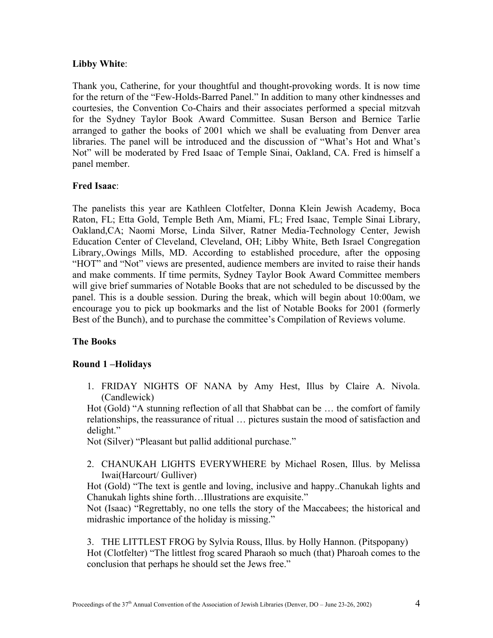## **Libby White**:

Thank you, Catherine, for your thoughtful and thought-provoking words. It is now time for the return of the "Few-Holds-Barred Panel." In addition to many other kindnesses and courtesies, the Convention Co-Chairs and their associates performed a special mitzvah for the Sydney Taylor Book Award Committee. Susan Berson and Bernice Tarlie arranged to gather the books of 2001 which we shall be evaluating from Denver area libraries. The panel will be introduced and the discussion of "What's Hot and What's Not" will be moderated by Fred Isaac of Temple Sinai, Oakland, CA. Fred is himself a panel member.

# **Fred Isaac**:

The panelists this year are Kathleen Clotfelter, Donna Klein Jewish Academy, Boca Raton, FL; Etta Gold, Temple Beth Am, Miami, FL; Fred Isaac, Temple Sinai Library, Oakland,CA; Naomi Morse, Linda Silver, Ratner Media-Technology Center, Jewish Education Center of Cleveland, Cleveland, OH; Libby White, Beth Israel Congregation Library,.Owings Mills, MD. According to established procedure, after the opposing "HOT" and "Not" views are presented, audience members are invited to raise their hands and make comments. If time permits, Sydney Taylor Book Award Committee members will give brief summaries of Notable Books that are not scheduled to be discussed by the panel. This is a double session. During the break, which will begin about 10:00am, we encourage you to pick up bookmarks and the list of Notable Books for 2001 (formerly Best of the Bunch), and to purchase the committee's Compilation of Reviews volume.

# **The Books**

## **Round 1 –Holidays**

1. FRIDAY NIGHTS OF NANA by Amy Hest, Illus by Claire A. Nivola. (Candlewick)

Hot (Gold) "A stunning reflection of all that Shabbat can be … the comfort of family relationships, the reassurance of ritual … pictures sustain the mood of satisfaction and delight."

Not (Silver) "Pleasant but pallid additional purchase."

2. CHANUKAH LIGHTS EVERYWHERE by Michael Rosen, Illus. by Melissa Iwai(Harcourt/ Gulliver)

Hot (Gold) "The text is gentle and loving, inclusive and happy..Chanukah lights and Chanukah lights shine forth…Illustrations are exquisite."

Not (Isaac) "Regrettably, no one tells the story of the Maccabees; the historical and midrashic importance of the holiday is missing."

3. THE LITTLEST FROG by Sylvia Rouss, Illus. by Holly Hannon. (Pitspopany) Hot (Clotfelter) "The littlest frog scared Pharaoh so much (that) Pharoah comes to the conclusion that perhaps he should set the Jews free."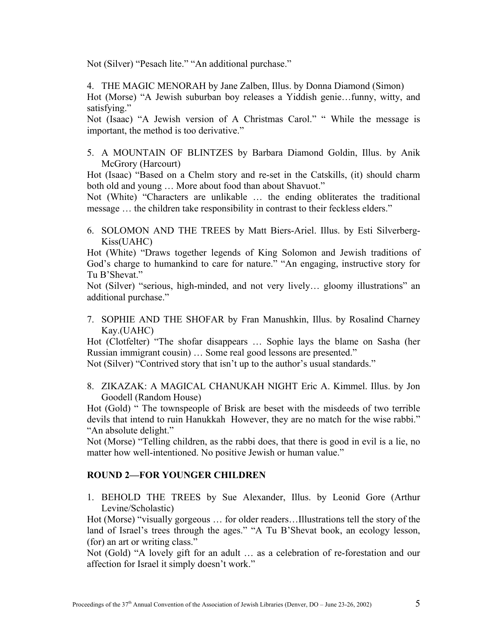Not (Silver) "Pesach lite." "An additional purchase."

4. THE MAGIC MENORAH by Jane Zalben, Illus. by Donna Diamond (Simon) Hot (Morse) "A Jewish suburban boy releases a Yiddish genie…funny, witty, and satisfying."

Not (Isaac) "A Jewish version of A Christmas Carol." " While the message is important, the method is too derivative."

5. A MOUNTAIN OF BLINTZES by Barbara Diamond Goldin, Illus. by Anik McGrory (Harcourt)

Hot (Isaac) "Based on a Chelm story and re-set in the Catskills, (it) should charm both old and young … More about food than about Shavuot."

Not (White) "Characters are unlikable … the ending obliterates the traditional message … the children take responsibility in contrast to their feckless elders."

6. SOLOMON AND THE TREES by Matt Biers-Ariel. Illus. by Esti Silverberg-Kiss(UAHC)

Hot (White) "Draws together legends of King Solomon and Jewish traditions of God's charge to humankind to care for nature." "An engaging, instructive story for Tu B'Shevat."

Not (Silver) "serious, high-minded, and not very lively… gloomy illustrations" an additional purchase."

7. SOPHIE AND THE SHOFAR by Fran Manushkin, Illus. by Rosalind Charney Kay.(UAHC)

Hot (Clotfelter) "The shofar disappears … Sophie lays the blame on Sasha (her Russian immigrant cousin) … Some real good lessons are presented."

Not (Silver) "Contrived story that isn't up to the author's usual standards."

8. ZIKAZAK: A MAGICAL CHANUKAH NIGHT Eric A. Kimmel. Illus. by Jon Goodell (Random House)

Hot (Gold) " The townspeople of Brisk are beset with the misdeeds of two terrible devils that intend to ruin Hanukkah However, they are no match for the wise rabbi." "An absolute delight."

Not (Morse) "Telling children, as the rabbi does, that there is good in evil is a lie, no matter how well-intentioned. No positive Jewish or human value."

## **ROUND 2—FOR YOUNGER CHILDREN**

1. BEHOLD THE TREES by Sue Alexander, Illus. by Leonid Gore (Arthur Levine/Scholastic)

Hot (Morse) "visually gorgeous … for older readers…Illustrations tell the story of the land of Israel's trees through the ages." "A Tu B'Shevat book, an ecology lesson, (for) an art or writing class."

Not (Gold) "A lovely gift for an adult … as a celebration of re-forestation and our affection for Israel it simply doesn't work."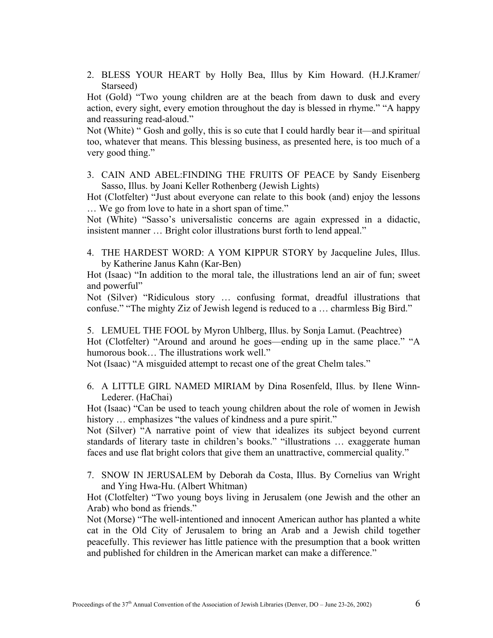2. BLESS YOUR HEART by Holly Bea, Illus by Kim Howard. (H.J.Kramer/ Starseed)

Hot (Gold) "Two young children are at the beach from dawn to dusk and every action, every sight, every emotion throughout the day is blessed in rhyme." "A happy and reassuring read-aloud."

Not (White) " Gosh and golly, this is so cute that I could hardly bear it—and spiritual too, whatever that means. This blessing business, as presented here, is too much of a very good thing."

3. CAIN AND ABEL:FINDING THE FRUITS OF PEACE by Sandy Eisenberg Sasso, Illus. by Joani Keller Rothenberg (Jewish Lights)

Hot (Clotfelter) "Just about everyone can relate to this book (and) enjoy the lessons … We go from love to hate in a short span of time."

Not (White) "Sasso's universalistic concerns are again expressed in a didactic, insistent manner … Bright color illustrations burst forth to lend appeal."

4. THE HARDEST WORD: A YOM KIPPUR STORY by Jacqueline Jules, Illus. by Katherine Janus Kahn (Kar-Ben)

Hot (Isaac) "In addition to the moral tale, the illustrations lend an air of fun; sweet and powerful"

Not (Silver) "Ridiculous story … confusing format, dreadful illustrations that confuse." "The mighty Ziz of Jewish legend is reduced to a … charmless Big Bird."

5. LEMUEL THE FOOL by Myron Uhlberg, Illus. by Sonja Lamut. (Peachtree) Hot (Clotfelter) "Around and around he goes—ending up in the same place." "A humorous book… The illustrations work well."

Not (Isaac) "A misguided attempt to recast one of the great Chelm tales."

6. A LITTLE GIRL NAMED MIRIAM by Dina Rosenfeld, Illus. by Ilene Winn-Lederer. (HaChai)

Hot (Isaac) "Can be used to teach young children about the role of women in Jewish history ... emphasizes "the values of kindness and a pure spirit."

Not (Silver) "A narrative point of view that idealizes its subject beyond current standards of literary taste in children's books." "illustrations … exaggerate human faces and use flat bright colors that give them an unattractive, commercial quality."

7. SNOW IN JERUSALEM by Deborah da Costa, Illus. By Cornelius van Wright and Ying Hwa-Hu. (Albert Whitman)

Hot (Clotfelter) "Two young boys living in Jerusalem (one Jewish and the other an Arab) who bond as friends."

Not (Morse) "The well-intentioned and innocent American author has planted a white cat in the Old City of Jerusalem to bring an Arab and a Jewish child together peacefully. This reviewer has little patience with the presumption that a book written and published for children in the American market can make a difference."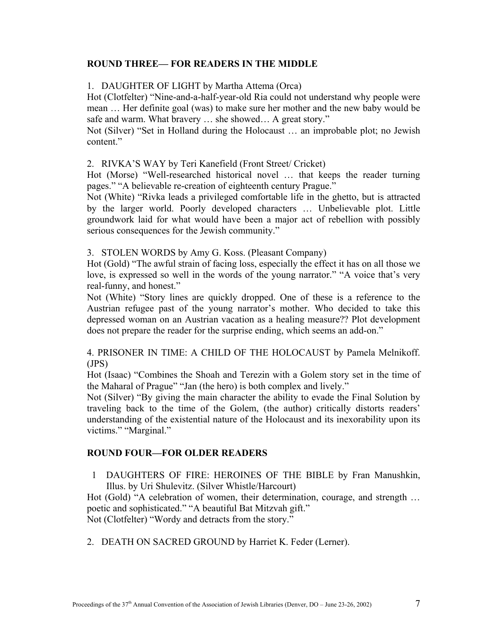# **ROUND THREE— FOR READERS IN THE MIDDLE**

#### 1. DAUGHTER OF LIGHT by Martha Attema (Orca)

Hot (Clotfelter) "Nine-and-a-half-year-old Ria could not understand why people were mean … Her definite goal (was) to make sure her mother and the new baby would be safe and warm. What bravery … she showed… A great story."

Not (Silver) "Set in Holland during the Holocaust … an improbable plot; no Jewish content."

#### 2. RIVKA'S WAY by Teri Kanefield (Front Street/ Cricket)

Hot (Morse) "Well-researched historical novel … that keeps the reader turning pages." "A believable re-creation of eighteenth century Prague."

Not (White) "Rivka leads a privileged comfortable life in the ghetto, but is attracted by the larger world. Poorly developed characters … Unbelievable plot. Little groundwork laid for what would have been a major act of rebellion with possibly serious consequences for the Jewish community."

#### 3. STOLEN WORDS by Amy G. Koss. (Pleasant Company)

Hot (Gold) "The awful strain of facing loss, especially the effect it has on all those we love, is expressed so well in the words of the young narrator." "A voice that's very real-funny, and honest."

Not (White) "Story lines are quickly dropped. One of these is a reference to the Austrian refugee past of the young narrator's mother. Who decided to take this depressed woman on an Austrian vacation as a healing measure?? Plot development does not prepare the reader for the surprise ending, which seems an add-on."

4. PRISONER IN TIME: A CHILD OF THE HOLOCAUST by Pamela Melnikoff. (JPS)

Hot (Isaac) "Combines the Shoah and Terezin with a Golem story set in the time of the Maharal of Prague" "Jan (the hero) is both complex and lively."

Not (Silver) "By giving the main character the ability to evade the Final Solution by traveling back to the time of the Golem, (the author) critically distorts readers' understanding of the existential nature of the Holocaust and its inexorability upon its victims." "Marginal."

## **ROUND FOUR—FOR OLDER READERS**

1 DAUGHTERS OF FIRE: HEROINES OF THE BIBLE by Fran Manushkin, Illus. by Uri Shulevitz. (Silver Whistle/Harcourt)

Hot (Gold) "A celebration of women, their determination, courage, and strength ... poetic and sophisticated." "A beautiful Bat Mitzvah gift." Not (Clotfelter) "Wordy and detracts from the story."

2. DEATH ON SACRED GROUND by Harriet K. Feder (Lerner).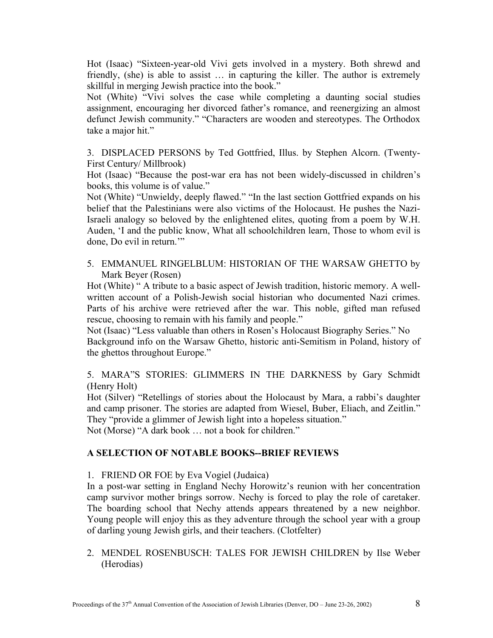Hot (Isaac) "Sixteen-year-old Vivi gets involved in a mystery. Both shrewd and friendly, (she) is able to assist … in capturing the killer. The author is extremely skillful in merging Jewish practice into the book."

Not (White) "Vivi solves the case while completing a daunting social studies assignment, encouraging her divorced father's romance, and reenergizing an almost defunct Jewish community." "Characters are wooden and stereotypes. The Orthodox take a major hit."

3. DISPLACED PERSONS by Ted Gottfried, Illus. by Stephen Alcorn. (Twenty-First Century/ Millbrook)

Hot (Isaac) "Because the post-war era has not been widely-discussed in children's books, this volume is of value."

Not (White) "Unwieldy, deeply flawed." "In the last section Gottfried expands on his belief that the Palestinians were also victims of the Holocaust. He pushes the Nazi-Israeli analogy so beloved by the enlightened elites, quoting from a poem by W.H. Auden, 'I and the public know, What all schoolchildren learn, Those to whom evil is done, Do evil in return.'"

5. EMMANUEL RINGELBLUM: HISTORIAN OF THE WARSAW GHETTO by Mark Beyer (Rosen)

Hot (White) " A tribute to a basic aspect of Jewish tradition, historic memory. A wellwritten account of a Polish-Jewish social historian who documented Nazi crimes. Parts of his archive were retrieved after the war. This noble, gifted man refused rescue, choosing to remain with his family and people."

Not (Isaac) "Less valuable than others in Rosen's Holocaust Biography Series." No Background info on the Warsaw Ghetto, historic anti-Semitism in Poland, history of the ghettos throughout Europe."

5. MARA"S STORIES: GLIMMERS IN THE DARKNESS by Gary Schmidt (Henry Holt)

Hot (Silver) "Retellings of stories about the Holocaust by Mara, a rabbi's daughter and camp prisoner. The stories are adapted from Wiesel, Buber, Eliach, and Zeitlin." They "provide a glimmer of Jewish light into a hopeless situation."

Not (Morse) "A dark book … not a book for children."

# **A SELECTION OF NOTABLE BOOKS--BRIEF REVIEWS**

## 1. FRIEND OR FOE by Eva Vogiel (Judaica)

In a post-war setting in England Nechy Horowitz's reunion with her concentration camp survivor mother brings sorrow. Nechy is forced to play the role of caretaker. The boarding school that Nechy attends appears threatened by a new neighbor. Young people will enjoy this as they adventure through the school year with a group of darling young Jewish girls, and their teachers. (Clotfelter)

2. MENDEL ROSENBUSCH: TALES FOR JEWISH CHILDREN by Ilse Weber (Herodias)